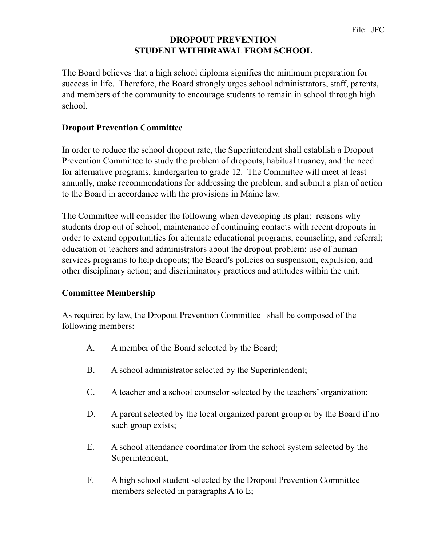## **DROPOUT PREVENTION STUDENT WITHDRAWAL FROM SCHOOL**

The Board believes that a high school diploma signifies the minimum preparation for success in life. Therefore, the Board strongly urges school administrators, staff, parents, and members of the community to encourage students to remain in school through high school.

## **Dropout Prevention Committee**

In order to reduce the school dropout rate, the Superintendent shall establish a Dropout Prevention Committee to study the problem of dropouts, habitual truancy, and the need for alternative programs, kindergarten to grade 12. The Committee will meet at least annually, make recommendations for addressing the problem, and submit a plan of action to the Board in accordance with the provisions in Maine law.

The Committee will consider the following when developing its plan: reasons why students drop out of school; maintenance of continuing contacts with recent dropouts in order to extend opportunities for alternate educational programs, counseling, and referral; education of teachers and administrators about the dropout problem; use of human services programs to help dropouts; the Board's policies on suspension, expulsion, and other disciplinary action; and discriminatory practices and attitudes within the unit.

## **Committee Membership**

As required by law, the Dropout Prevention Committee shall be composed of the following members:

- A. A member of the Board selected by the Board;
- B. A school administrator selected by the Superintendent;
- C. A teacher and a school counselor selected by the teachers' organization;
- D. A parent selected by the local organized parent group or by the Board if no such group exists;
- E. A school attendance coordinator from the school system selected by the Superintendent;
- F. A high school student selected by the Dropout Prevention Committee members selected in paragraphs A to E;